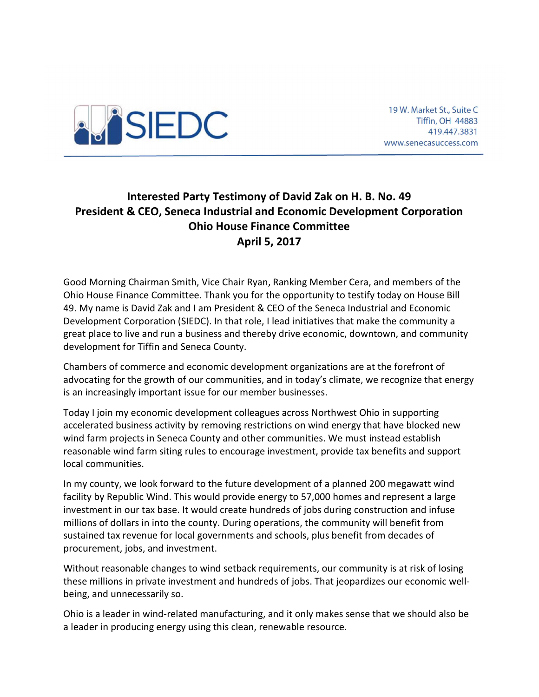

19 W. Market St., Suite C Tiffin, OH 44883 419.447.3831 www.senecasuccess.com

## Interested Party Testimony of David Zak on H. B. No. 49 President & CEO, Seneca Industrial and Economic Development Corporation Ohio House Finance Committee April 5, 2017

Good Morning Chairman Smith, Vice Chair Ryan, Ranking Member Cera, and members of the Ohio House Finance Committee. Thank you for the opportunity to testify today on House Bill 49. My name is David Zak and I am President & CEO of the Seneca Industrial and Economic Development Corporation (SIEDC). In that role, I lead initiatives that make the community a great place to live and run a business and thereby drive economic, downtown, and community development for Tiffin and Seneca County.

Chambers of commerce and economic development organizations are at the forefront of advocating for the growth of our communities, and in today's climate, we recognize that energy is an increasingly important issue for our member businesses.

Today I join my economic development colleagues across Northwest Ohio in supporting accelerated business activity by removing restrictions on wind energy that have blocked new wind farm projects in Seneca County and other communities. We must instead establish reasonable wind farm siting rules to encourage investment, provide tax benefits and support local communities.

In my county, we look forward to the future development of a planned 200 megawatt wind facility by Republic Wind. This would provide energy to 57,000 homes and represent a large investment in our tax base. It would create hundreds of jobs during construction and infuse millions of dollars in into the county. During operations, the community will benefit from sustained tax revenue for local governments and schools, plus benefit from decades of procurement, jobs, and investment.

Without reasonable changes to wind setback requirements, our community is at risk of losing these millions in private investment and hundreds of jobs. That jeopardizes our economic wellbeing, and unnecessarily so.

Ohio is a leader in wind-related manufacturing, and it only makes sense that we should also be a leader in producing energy using this clean, renewable resource.